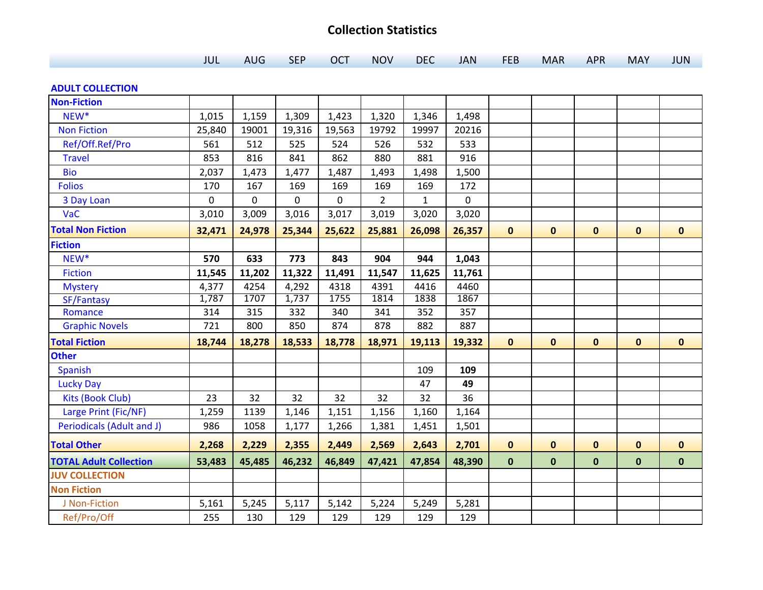## **Collection Statistics**

| JUL AUG SEP OCT NOV DEC JAN FEB MAR APR MAY JUN |  |  |  |  |
|-------------------------------------------------|--|--|--|--|
|-------------------------------------------------|--|--|--|--|

## **ADULT COLLECTION**

| <b>Non-Fiction</b>            |        |        |        |        |                |              |        |              |              |              |              |              |
|-------------------------------|--------|--------|--------|--------|----------------|--------------|--------|--------------|--------------|--------------|--------------|--------------|
| NEW*                          | 1,015  | 1,159  | 1,309  | 1,423  | 1,320          | 1,346        | 1,498  |              |              |              |              |              |
| <b>Non Fiction</b>            | 25,840 | 19001  | 19,316 | 19,563 | 19792          | 19997        | 20216  |              |              |              |              |              |
| Ref/Off.Ref/Pro               | 561    | 512    | 525    | 524    | 526            | 532          | 533    |              |              |              |              |              |
| <b>Travel</b>                 | 853    | 816    | 841    | 862    | 880            | 881          | 916    |              |              |              |              |              |
| <b>Bio</b>                    | 2,037  | 1,473  | 1,477  | 1,487  | 1,493          | 1,498        | 1,500  |              |              |              |              |              |
| <b>Folios</b>                 | 170    | 167    | 169    | 169    | 169            | 169          | 172    |              |              |              |              |              |
| 3 Day Loan                    | 0      | 0      | 0      | 0      | $\overline{2}$ | $\mathbf{1}$ | 0      |              |              |              |              |              |
| VaC                           | 3,010  | 3,009  | 3,016  | 3,017  | 3,019          | 3,020        | 3,020  |              |              |              |              |              |
| <b>Total Non Fiction</b>      | 32,471 | 24,978 | 25,344 | 25,622 | 25,881         | 26,098       | 26,357 | $\mathbf{0}$ | $\mathbf 0$  | $\mathbf 0$  | $\mathbf 0$  | $\mathbf{0}$ |
| <b>Fiction</b>                |        |        |        |        |                |              |        |              |              |              |              |              |
| NEW*                          | 570    | 633    | 773    | 843    | 904            | 944          | 1,043  |              |              |              |              |              |
| <b>Fiction</b>                | 11,545 | 11,202 | 11,322 | 11,491 | 11,547         | 11,625       | 11,761 |              |              |              |              |              |
| <b>Mystery</b>                | 4,377  | 4254   | 4,292  | 4318   | 4391           | 4416         | 4460   |              |              |              |              |              |
| SF/Fantasy                    | 1,787  | 1707   | 1,737  | 1755   | 1814           | 1838         | 1867   |              |              |              |              |              |
| Romance                       | 314    | 315    | 332    | 340    | 341            | 352          | 357    |              |              |              |              |              |
| <b>Graphic Novels</b>         | 721    | 800    | 850    | 874    | 878            | 882          | 887    |              |              |              |              |              |
| <b>Total Fiction</b>          | 18,744 | 18,278 | 18,533 | 18,778 | 18,971         | 19,113       | 19,332 | $\mathbf{0}$ | $\mathbf{0}$ | $\mathbf{0}$ | $\mathbf 0$  | $\mathbf 0$  |
| <b>Other</b>                  |        |        |        |        |                |              |        |              |              |              |              |              |
| Spanish                       |        |        |        |        |                | 109          | 109    |              |              |              |              |              |
| <b>Lucky Day</b>              |        |        |        |        |                | 47           | 49     |              |              |              |              |              |
| Kits (Book Club)              | 23     | 32     | 32     | 32     | 32             | 32           | 36     |              |              |              |              |              |
| Large Print (Fic/NF)          | 1,259  | 1139   | 1,146  | 1,151  | 1,156          | 1,160        | 1,164  |              |              |              |              |              |
| Periodicals (Adult and J)     | 986    | 1058   | 1,177  | 1,266  | 1,381          | 1,451        | 1,501  |              |              |              |              |              |
| <b>Total Other</b>            | 2,268  | 2,229  | 2,355  | 2,449  | 2,569          | 2,643        | 2,701  | $\mathbf{0}$ | $\mathbf{0}$ | $\bf{0}$     | $\mathbf{0}$ | $\mathbf 0$  |
| <b>TOTAL Adult Collection</b> | 53,483 | 45,485 | 46,232 | 46,849 | 47,421         | 47,854       | 48,390 | $\mathbf{0}$ | $\mathbf 0$  | $\mathbf 0$  | $\mathbf{0}$ | $\pmb{0}$    |
| <b>JUV COLLECTION</b>         |        |        |        |        |                |              |        |              |              |              |              |              |
| <b>Non Fiction</b>            |        |        |        |        |                |              |        |              |              |              |              |              |
| J Non-Fiction                 | 5,161  | 5,245  | 5,117  | 5,142  | 5,224          | 5,249        | 5,281  |              |              |              |              |              |
| Ref/Pro/Off                   | 255    | 130    | 129    | 129    | 129            | 129          | 129    |              |              |              |              |              |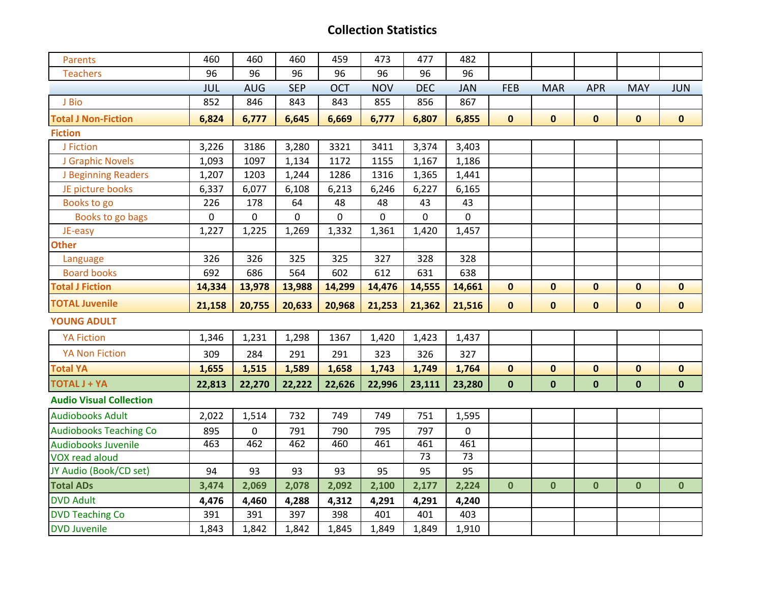## **Collection Statistics**

| <b>Parents</b>                 | 460        | 460         | 460        | 459         | 473        | 477             | 482             |              |              |              |              |              |
|--------------------------------|------------|-------------|------------|-------------|------------|-----------------|-----------------|--------------|--------------|--------------|--------------|--------------|
| <b>Teachers</b>                | 96         | 96          | 96         | 96          | 96         | 96              | 96              |              |              |              |              |              |
|                                | <b>JUL</b> | <b>AUG</b>  | <b>SEP</b> | <b>OCT</b>  | <b>NOV</b> | <b>DEC</b>      | <b>JAN</b>      | <b>FEB</b>   | <b>MAR</b>   | <b>APR</b>   | <b>MAY</b>   | <b>JUN</b>   |
| J Bio                          | 852        | 846         | 843        | 843         | 855        | 856             | 867             |              |              |              |              |              |
| <b>Total J Non-Fiction</b>     | 6,824      | 6,777       | 6,645      | 6,669       | 6,777      | 6,807           | 6,855           | $\mathbf{0}$ | $\mathbf{0}$ | $\mathbf 0$  | $\mathbf 0$  | $\mathbf{0}$ |
| <b>Fiction</b>                 |            |             |            |             |            |                 |                 |              |              |              |              |              |
| J Fiction                      | 3,226      | 3186        | 3,280      | 3321        | 3411       | 3,374           | 3,403           |              |              |              |              |              |
| J Graphic Novels               | 1,093      | 1097        | 1,134      | 1172        | 1155       | 1,167           | 1,186           |              |              |              |              |              |
| J Beginning Readers            | 1,207      | 1203        | 1,244      | 1286        | 1316       | 1,365           | 1,441           |              |              |              |              |              |
| JE picture books               | 6,337      | 6,077       | 6,108      | 6,213       | 6,246      | 6,227           | 6,165           |              |              |              |              |              |
| Books to go                    | 226        | 178         | 64         | 48          | 48         | 43              | 43              |              |              |              |              |              |
| Books to go bags               | 0          | $\mathbf 0$ | 0          | $\mathbf 0$ | 0          | $\mathbf 0$     | $\mathbf 0$     |              |              |              |              |              |
| JE-easy                        | 1,227      | 1,225       | 1,269      | 1,332       | 1,361      | 1,420           | 1,457           |              |              |              |              |              |
| <b>Other</b>                   |            |             |            |             |            |                 |                 |              |              |              |              |              |
| Language                       | 326        | 326         | 325        | 325         | 327        | 328             | 328             |              |              |              |              |              |
| <b>Board books</b>             | 692        | 686         | 564        | 602         | 612        | 631             | 638             |              |              |              |              |              |
| <b>Total J Fiction</b>         | 14,334     | 13,978      | 13,988     | 14,299      | 14,476     | 14,555          | 14,661          | $\mathbf 0$  | $\mathbf 0$  | $\pmb{0}$    | $\mathbf 0$  | $\mathbf 0$  |
|                                |            |             |            |             |            |                 |                 |              |              |              |              |              |
| <b>TOTAL Juvenile</b>          | 21,158     | 20,755      | 20,633     | 20,968      | 21,253     | 21,362          | 21,516          | $\mathbf 0$  | $\mathbf 0$  | $\mathbf 0$  | $\mathbf 0$  | $\mathbf 0$  |
| <b>YOUNG ADULT</b>             |            |             |            |             |            |                 |                 |              |              |              |              |              |
| <b>YA Fiction</b>              | 1,346      | 1,231       | 1,298      | 1367        | 1,420      | 1,423           | 1,437           |              |              |              |              |              |
| <b>YA Non Fiction</b>          | 309        | 284         | 291        | 291         | 323        | 326             | 327             |              |              |              |              |              |
| <b>Total YA</b>                | 1,655      | 1,515       | 1,589      | 1,658       | 1,743      | 1,749           | 1,764           | $\mathbf 0$  | $\mathbf 0$  | $\mathbf 0$  | $\mathbf 0$  | $\mathbf{0}$ |
| <b>TOTAL J + YA</b>            | 22,813     | 22,270      | 22,222     | 22,626      | 22,996     | 23,111          | 23,280          | $\mathbf 0$  | $\mathbf 0$  | $\mathbf 0$  | $\mathbf 0$  | $\mathbf 0$  |
| <b>Audio Visual Collection</b> |            |             |            |             |            |                 |                 |              |              |              |              |              |
| <b>Audiobooks Adult</b>        | 2,022      | 1,514       | 732        | 749         | 749        | 751             | 1,595           |              |              |              |              |              |
| <b>Audiobooks Teaching Co</b>  | 895        | $\pmb{0}$   | 791        | 790         | 795        | 797             | $\mathbf 0$     |              |              |              |              |              |
| <b>Audiobooks Juvenile</b>     | 463        | 462         | 462        | 460         | 461        | 461             | 461             |              |              |              |              |              |
| <b>VOX read aloud</b>          |            |             |            |             |            | $\overline{73}$ | $\overline{73}$ |              |              |              |              |              |
| JY Audio (Book/CD set)         | 94         | 93          | 93         | 93          | 95         | 95              | 95              |              |              |              |              |              |
| <b>Total ADs</b>               | 3,474      | 2,069       | 2,078      | 2,092       | 2,100      | 2,177           | 2,224           | $\mathbf{0}$ | $\mathbf{0}$ | $\mathbf{0}$ | $\mathbf{0}$ | $\mathbf 0$  |
| <b>DVD Adult</b>               | 4,476      | 4,460       | 4,288      | 4,312       | 4,291      | 4,291           | 4,240           |              |              |              |              |              |
| <b>DVD Teaching Co</b>         | 391        | 391         | 397        | 398         | 401        | 401             | 403             |              |              |              |              |              |